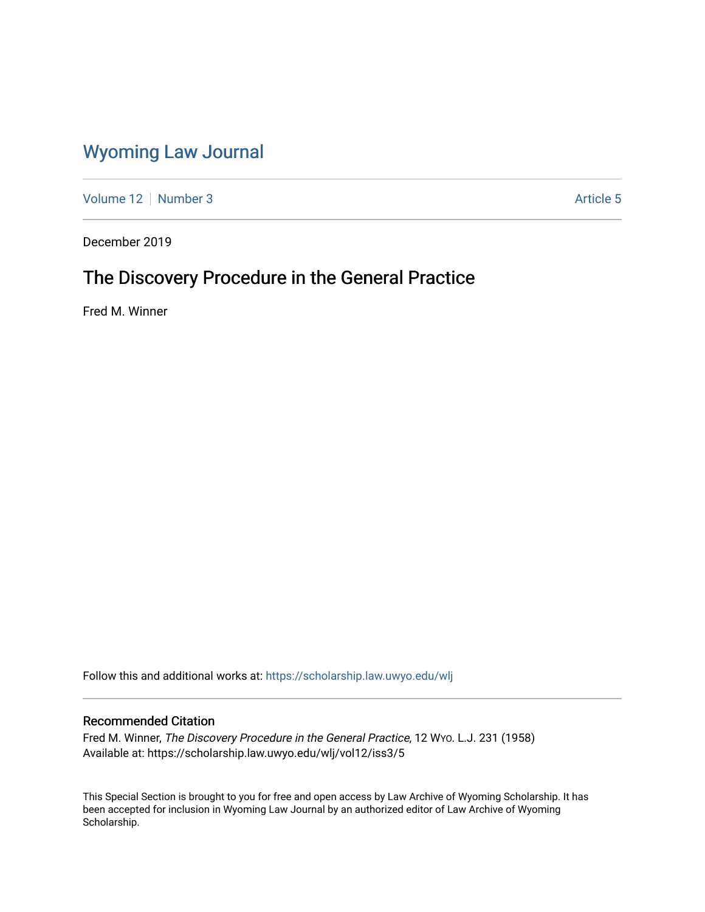# [Wyoming Law Journal](https://scholarship.law.uwyo.edu/wlj)

[Volume 12](https://scholarship.law.uwyo.edu/wlj/vol12) [Number 3](https://scholarship.law.uwyo.edu/wlj/vol12/iss3) [Article 5](https://scholarship.law.uwyo.edu/wlj/vol12/iss3/5) Article 5

December 2019

# The Discovery Procedure in the General Practice

Fred M. Winner

Follow this and additional works at: [https://scholarship.law.uwyo.edu/wlj](https://scholarship.law.uwyo.edu/wlj?utm_source=scholarship.law.uwyo.edu%2Fwlj%2Fvol12%2Fiss3%2F5&utm_medium=PDF&utm_campaign=PDFCoverPages) 

# Recommended Citation

Fred M. Winner, The Discovery Procedure in the General Practice, 12 WYO. L.J. 231 (1958) Available at: https://scholarship.law.uwyo.edu/wlj/vol12/iss3/5

This Special Section is brought to you for free and open access by Law Archive of Wyoming Scholarship. It has been accepted for inclusion in Wyoming Law Journal by an authorized editor of Law Archive of Wyoming Scholarship.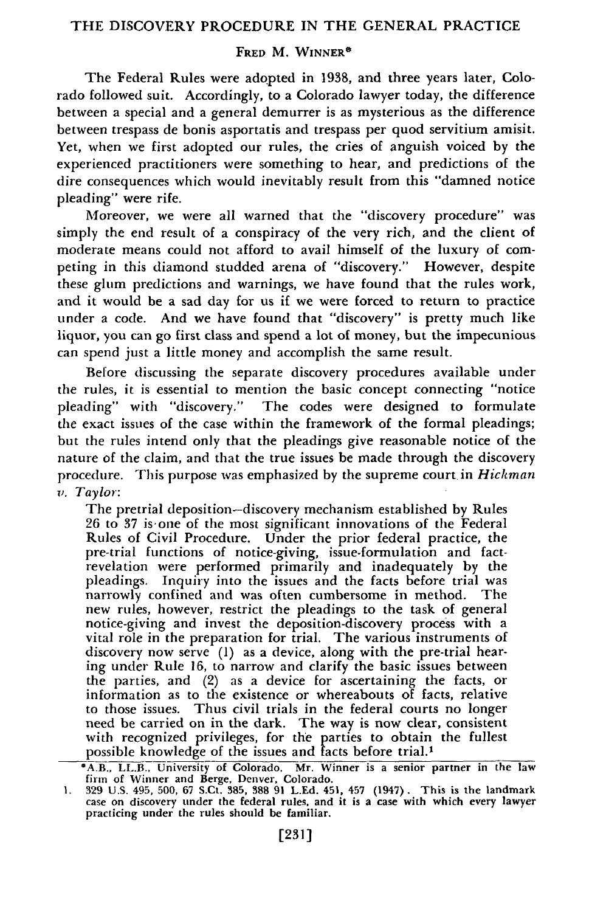## **FRED** M. **WINNER\***

The Federal Rules were adopted in 1938, and three years later, Colorado followed suit. Accordingly, to a Colorado lawyer today, the difference between a special and a general demurrer is as mysterious as the difference between trespass de bonis asportatis and trespass per quod servitium amisit. Yet, when we first adopted our rules, the cries of anguish voiced **by** the experienced practitioners were something to hear, and predictions of the dire consequences which would inevitably result from this "damned notice pleading" were rife.

Moreover, we were all warned that the "discovery procedure" was simply the end result of a conspiracy of the very rich, and the client of moderate means could not afford to avail himself of the luxury of competing in this diamond studded arena of "discovery." However, despite these glum predictions and warnings, we have found that the rules work, and it would be a sad day for us if we were forced to return to practice under a code. And we have found that "discovery" is pretty much like liquor, you can go first class and spend a lot of money, but the impecunious can spend just a little money and accomplish the same result.

Before discussing the separate discovery procedures available under the rules, it is essential to mention the basic concept connecting "notice pleading" with "discovery." The codes were designed to formulate the exact issues of the case within the framework of the formal pleadings; but the rules intend only that the pleadings give reasonable notice of the nature of the claim, and that the true issues be made through the discovery procedure. This purpose was emphasized **by** the supreme court in *Hickman v. Taylor:*

The pretrial deposition-discovery mechanism established by Rules 26 to 37 is-one of the most significant innovations of the Federal Rules of Civil Procedure. Under the prior federal practice, the pre-trial functions of notice-giving, issue-formulation and factrevelation were performed primarily and inadequately by the pleadings. Inquiry into the issues and the facts before trial was narrowly confined and was often cumbersome in method. The new rules, however, restrict the pleadings to the task of general notice-giving and invest the deposition-discovery process with a vital role in the preparation for trial. The various instruments of discovery now serve **(1)** as a device, along with the pre-trial hearing under Rule 16, to narrow and clarify the basic issues between the parties, and (2) as a device for ascertaining the facts, or information as to the existence or whereabouts of facts, relative to those issues. Thus civil trials in the federal courts no longer need be carried on in the dark. The way is now clear, consistent with recognized privileges, for the parties to obtain the fullest possible knowledge of the issues and facts before trial.

<sup>\*</sup>A.B., LL.B., University of Colorado. Mr. Winner is a senior partner in the law

firm of Winner and Berge, Denver, Colorado.<br>1. 329 U.S. 495, 500, 67 S.Ct. 385, 388 91 L.Ed. 451, 457 (1947). This is the landmark<br>case on discovery under the federal rules, and it is a case with which every lawyer<br>practic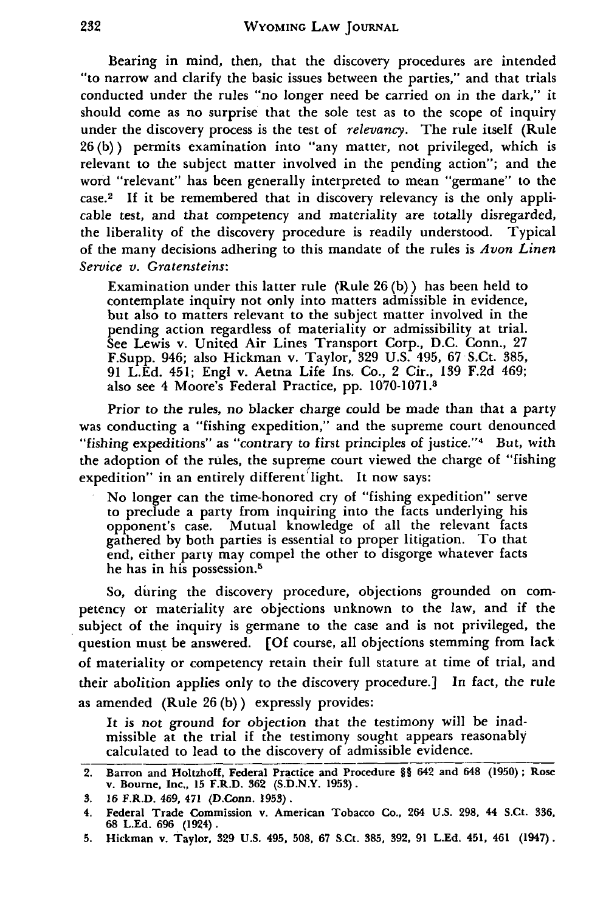Bearing in mind, then, that the discovery procedures are intended "to narrow and clarify the basic issues between the parties," and that trials conducted under the rules "no longer need be carried on in the dark," it should come as no surprise that the sole test as to the scope of inquiry under the discovery process is the test of *relevancy.* The rule itself (Rule 26 (b)) permits examination into "any matter, not privileged, which is relevant to the subject matter involved in the pending action"; and the word "relevant" has been generally interpreted to mean "germane" to the case.<sup>2</sup> If it be remembered that in discovery relevancy is the only applicable test, and that competency and materiality are totally disregarded, the liberality of the discovery procedure is readily understood. Typical of the many decisions adhering to this mandate of the rules is *Avon Linen Service v. Gratensteins:*

Examination under this latter rule (Rule 26 (b)) has been held to contemplate inquiry not only into matters admissible in evidence, but also to matters relevant to the subject matter involved in the pending action regardless of materiality or admissibility at trial. See Lewis v. United Air Lines Transport Corp., D.C. Conn., 27 F.Supp. 946; also Hickman v. Taylor, 329 U.S. 495, 67 S.Ct. 385, 91 L.Ed. 451; Engl v. Aetna Life Ins. Co., 2 Cir., 139 F.2d 469; also see 4 Moore's Federal Practice, **pp. 1070-1071.3**

Prior to the rules, no blacker charge could be made than that a party was conducting a "fishing expedition," and the supreme court denounced "fishing expeditions" as "contrary to first principles of justice."<sup>4</sup> But, with the adoption of the rules, the supreme court viewed the charge of "fishing expedition" in an entirely different light. It now says:

No longer can the time-honored cry of "fishing expedition" serve to preclude a party from inquiring into the facts underlying his opponent's case. Mutual knowledge of all the relevant facts gathered **by** both parties is essential to proper litigation. To that end, either party may compel the other to disgorge whatever facts he has in his possession.<sup>5</sup>

So, during the discovery procedure, objections grounded on competency or materiality are objections unknown to the law, and if the subject of the inquiry is germane to the case and is not privileged, the question must be answered. **[Of** course, all objections stemming from lack of materiality or competency retain their full stature at time of trial, and their abolition applies only to the discovery procedure.] In fact, the rule as amended (Rule **26 (b))** expressly provides:

It is not ground for objection that the testimony will be inadmissible at the trial if the testimony sought appears reasonably calculated to lead to the discovery of admissible evidence.

**<sup>2.</sup> Barron and Holtzhoff, Federal Practice and Procedure** §§ 642 and 648 **(1950)** ; **Rose v. Bourne, Inc,, 15 F.R.D. 362 (S.D.N.Y. 1953).**

**<sup>3. 16</sup> F.R.D. 469, 471 (D.Conn. 1953).**

**<sup>4.</sup> Federal Trade Commission v. American Tobacco Co., 264 U.S. 298, 44 S.Ct. 336, 68 L.Ed. 696 (1924).**

**<sup>5.</sup> Hickman v. Taylor, 329 U.S.** 495, **508, 67** S.Ct. **385, 392, 91 L.Ed.** 451, 461 (1947).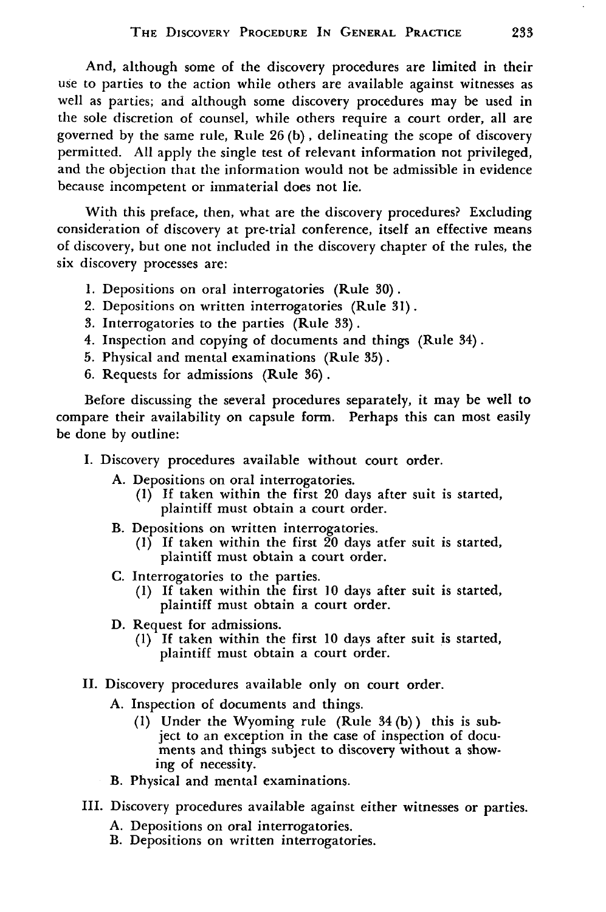And, although some of the discovery procedures are limited in their use to parties to the action while others are available against witnesses as well as parties; and although some discovery procedures may be used in the sole discretion of counsel, while others require a court order, all are governed by the same rule, Rule 26 (b), delineating the scope of discovery permitted. All apply the single test of relevant information not privileged, and the objection that the information would not be admissible in evidence because incompetent or immaterial does not lie.

With this preface, then, what are the discovery procedures? Excluding consideration of discovery at pre-trial conference, itself an effective means of discovery, but one not included in the discovery chapter of the rules, the six discovery processes are:

- **1.** Depositions on oral interrogatories (Rule 30).
- 2. Depositions on written interrogatories (Rule **31).**
- **3.** Interrogatories to the parties (Rule **33).**
- 4. Inspection and copying of documents and things (Rule 34).
- **5.** Physical and mental examinations (Rule **35).**
- 6. Requests for admissions (Rule 36).

Before discussing the several procedures separately, it may be well to compare their availability on capsule form. Perhaps this can most easily be done by outline:

- I. Discovery procedures available without court order.
	- **A.** Depositions on oral interrogatories.
		- **(1) If** taken within the first 20 days after suit is started, plaintiff must obtain a court order.
	- B. Depositions on written interrogatories.
		- (1) **If** taken within the first 20 days atfer suit is started, plaintiff must obtain a court order.
	- C. Interrogatories to the parties.
		- **(I) If** taken within the first 10 days after suit is started, plaintiff must obtain a court order.
	- D. Request for admissions.
		- **(1) If** taken within the first **10** days after suit is started, plaintiff must obtain a court order.
- II. Discovery procedures available only on court order.
	- A. Inspection of documents and things.
		- **(1)** Under the Wyoming rule (Rule 34 (b)) this is subject to an exception in the case of inspection of documents and things subject to discovery without a showing of necessity.
	- B. Physical and mental examinations.
- III. Discovery procedures available against either witnesses or parties.
	- A. Depositions on oral interrogatories.
	- B. Depositions on written interrogatories.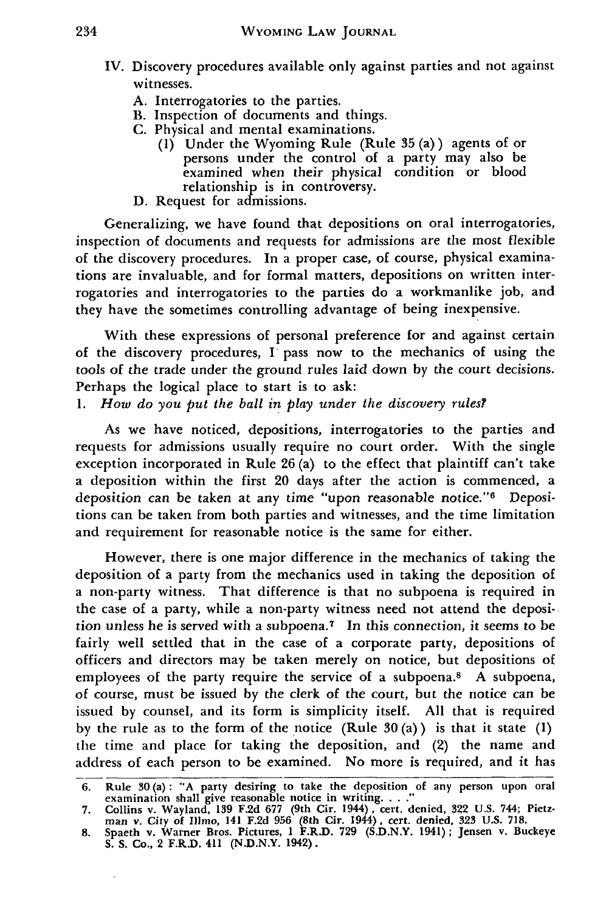- IV. Discovery procedures available only against parties and not against witnesses.
	- A. Interrogatories to the parties.
	- B. Inspection of documents and things.
	- C. Physical and mental examinations.
		- (1) Under the Wyoming Rule (Rule **35** (a)) agents of or persons under the control of a party may also be examined when their physical condition or blood relationship is in controversy.
	- **D. Request for** admissions.

Generalizing, we have found that depositions on oral interrogatories, inspection of documents and requests for admissions are the most flexible of the discovery procedures. In a proper case, of course, physical examinations are invaluable, and for formal matters, depositions on written interrogatories and interrogatories to the parties do a workmanlike **job,** and they have the sometimes controlling advantage of being inexpensive.

With these expressions of personal preference for and against certain of the discovery procedures, **I** pass now to the mechanics of using the tools of the trade under the ground rules laid down **by** the court decisions. Perhaps the logical place to start is to ask:

*1. How do you put the ball in play under the discovery rules?*

As we have noticed, depositions, interrogatories to the parties and requests for admissions usually require no court order. With the single exception incorporated in Rule **26** (a) to the effect that plaintiff can't take a deposition within the first 20 days after the action is commenced, a deposition can be taken at any time "upon reasonable notice."<sup>6</sup> Depositions can be taken from both parties and witnesses, and the time limitation and requirement for reasonable notice is the same for either.

However, there is one major difference in the mechanics of taking the deposition of a party from the mechanics used in taking the deposition of a non-party witness. That difference is that no subpoena is required in the case of a party, while a non-party witness need not attend the deposition unless he is served with a subpoena.7 In this connection, it seems to be fairly well settled that in the case of a corporate party, depositions of officers and directors may be taken merely on notice, but depositions of employees of the party require the service of a subpoena.<sup>8</sup> A subpoena, of course, must be issued by the clerk of the court, but the notice can be issued by counsel, and its form is simplicity itself. All that is required by the rule as to the form of the notice (Rule **30** (a)) is that it state **(1)** the time and place for taking the deposition, and (2) the name and address of each person to be examined. No more is required, and it has

<sup>6.</sup> Rule 30(a): "A party desiring to take the deposition of any person upon oral examination shall give reasonable notice in writing **......**

**<sup>7.</sup>** Collins v. Wayland, **139 F.2d 677** (9th Cir. 1944), cert. denied, **322 U.S.** 744; Pietz-man v. City of Illmo, 141 **F.2d 956** (8th Cir. 1944), cert. denied, **323 U.S. 718.**

**<sup>8.</sup>** Spaeth v. Warner Bros. Pictures, **1** F.R.D. **729 (S.D.N.Y.** 1941); Jensen v. Buckeye **S. S.** Co., 2 F.R.D. 411 **(N.D.N.Y.** 1942).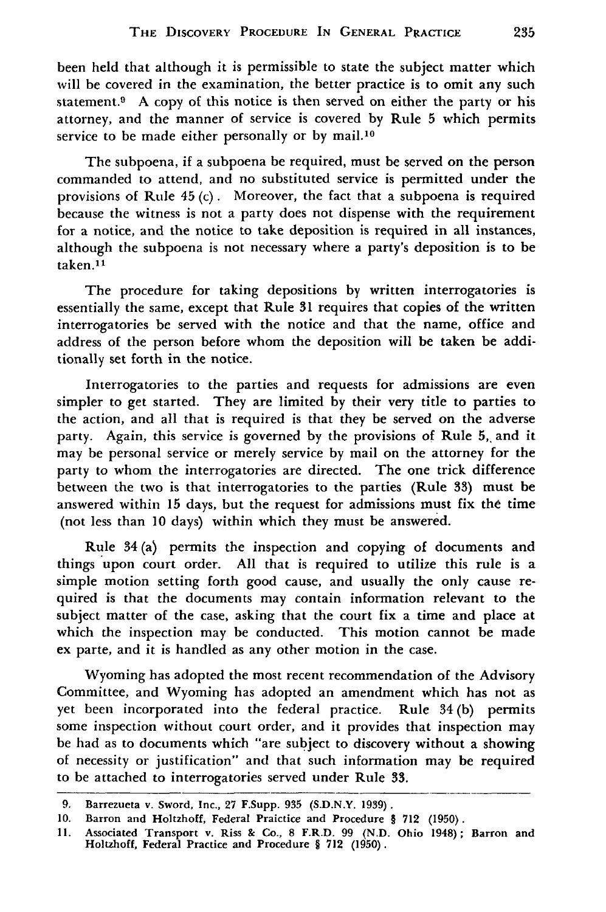been held that although it is permissible to state the subject matter which will be covered in the examination, the better practice is to omit any such statement.<sup>9</sup> A copy of this notice is then served on either the party or his attorney, and the manner of service is covered by Rule **5** which permits service to be made either personally or by mail.<sup>10</sup>

The subpoena, if a subpoena be required, must be served on the person commanded to attend, and no substituted service is permitted under the provisions of Rule  $45$  (c). Moreover, the fact that a subpoena is required because the witness is not a party does not dispense with the requirement for a notice, and the notice to take deposition is required in all instances, although the subpoena is not necessary where a party's deposition is to be taken.<sup>11</sup>

The procedure for taking depositions by written interrogatories is essentially the same, except that Rule **31** requires that copies of the written interrogatories be served with the notice and that the name, office and address of the person before whom the deposition will be taken be additionally set forth in the notice.

Interrogatories to the parties and requests for admissions are even simpler to get started. They are limited by their very title to parties to the action, and all that is required is that they be served on the adverse party. Again, this service is governed by the provisions of Rule 5, and it may be personal service or merely service by mail on the attorney for the party to whom the interrogatories are directed. The one trick difference between the two is that interrogatories to the parties (Rule **33)** must be answered within 15 days, but the request for admissions must fix the time (not less than **10** days) within which they must be answered.

Rule 34(a) permits the inspection and copying of documents and things upon court order. All that is required to utilize this rule is a simple motion setting forth good cause, and usually the only cause required is that the documents may contain information relevant to the subject matter of the case, asking that the court fix a time and place at which the inspection may be conducted. This motion cannot be made ex parte, and it is handled as any other motion in the case.

Wyoming has adopted the most recent recommendation of the Advisory Committee, and Wyoming has adopted an amendment which has not as yet been incorporated into the federal practice. Rule 34 (b) permits some inspection without court order, and it provides that inspection may be had as to documents which "are subject to discovery without a showing of necessity or justification" and that such information may be required to be attached to interrogatories served under Rule **33.**

<sup>9.</sup> Barrezueta v. Sword, Inc., 27 F.Supp. **935** (S.D.N.Y. 1939).

**<sup>10.</sup>** Barron and Holtzhoff, Federal Praictice and Procedure § 712 (1950).

<sup>11.</sup> Associated Transport v. Riss & Co., 8 F.R.D. 99 (N.D. Ohio 1948); Barron and Holtzhoff, Federal Practice and Procedure § **712 (1950).**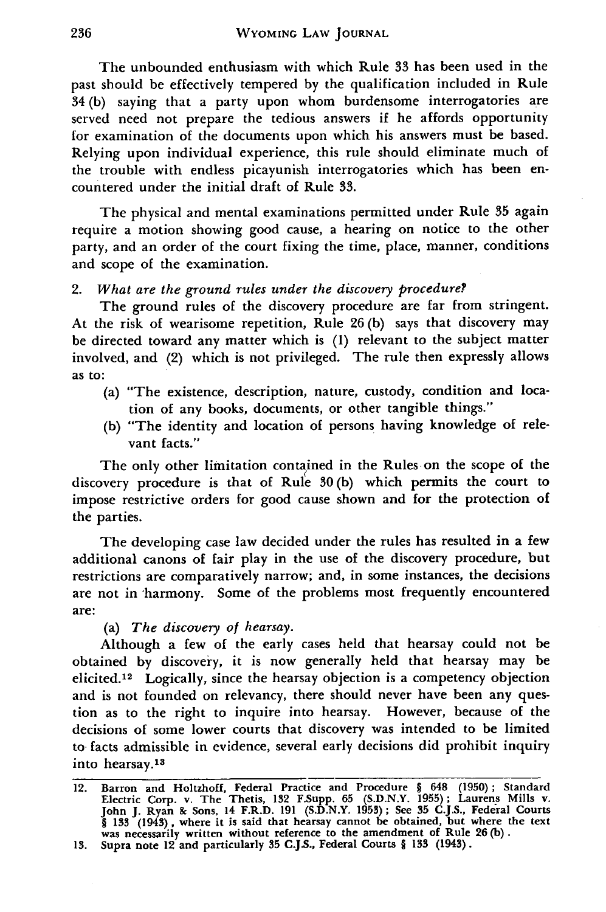The unbounded enthusiasm with which Rule **33** has been used in the past should be effectively tempered **by** the qualification included in Rule 34 **(b)** saying that a party upon whom burdensome interrogatories are served need not prepare the tedious answers if he affords opportunity for examination of the documents upon which his answers must be based. Relying upon individual experience, this rule should eliminate much of the trouble with endless picayunish interrogatories which has been encountered under the initial draft of Rule **33.**

The physical and mental examinations permitted under Rule **35** again require a motion showing good cause, a hearing on notice to the other party, and an order of the court fixing the time, place, manner, conditions and scope of the examination.

#### *2. What are the ground rules under the discovery procedure?*

The ground rules of the discovery procedure are far from stringent. At the risk of wearisome repetition, Rule 26 (b) says that discovery may be directed toward any matter which is **(1)** relevant to the subject matter involved, and (2) which is not privileged. The rule then expressly allows as to:

- (a) "The existence, description, nature, custody, condition and location of any books, documents, or other tangible things."
- (b) "The identity and location of persons having knowledge of relevant facts."

The only other limitation contained in the Rules-on the scope of the discovery procedure is that of Rule **30** (b) which permits the court to impose restrictive orders for good cause shown and for the protection of the parties.

The developing case law decided under the rules has resulted in a few additional canons of fair play in the use of the discovery procedure, but restrictions are comparatively narrow; and, in some instances, the decisions are not in harmony. Some of the problems most frequently encountered are:

## (a) *The discovery of hearsay.*

Although a few of the early cases held that hearsay could not be obtained by discovery, it is now generally held that hearsay may be elicited. 12 Logically, since the hearsay objection is a competency objection and is not founded on relevancy, there should never have been any question as to the right to inquire into hearsay. However, because of the decisions of some lower courts that discovery was intended to be limited to facts admissible in evidence, several early decisions did prohibit inquiry into hearsay. <sup>13</sup>

<sup>12.</sup> Barron and Holtzhoff, Federal Practice and Procedure § 648 (1950); Standard Electric Corp. v. The Thetis, 132 F.Supp. **65** (S.D.N.Y. 1955); Laurens Mills v. John J. Ryan **&c** Sons, 14 F.R.D. 191 (S.D.N.Y. 1953); See **35** C.J.S., Federal Courts § **133** (1943), where it is said that hearsay cannot be obtained, but where the text was necessarily written without reference to the amendment of Rule **26** (b).

**<sup>13.</sup>** Supra note 12 and particularly **35 C.J.S.,** Federal Courts § **133** (1945).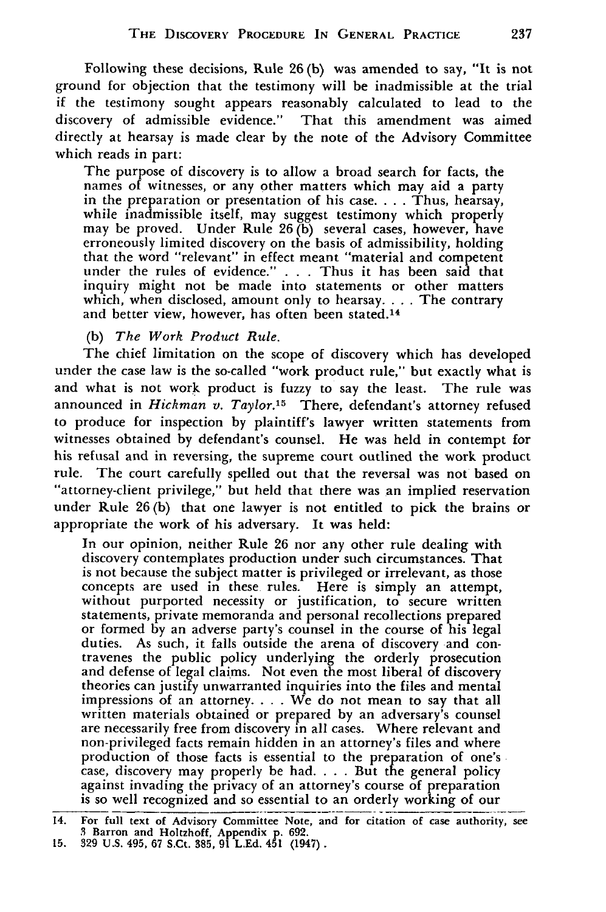Following these decisions, Rule 26 (b) was amended to say, "It is not ground for objection that the testimony will be inadmissible at the trial if the testimony sought appears reasonably calculated to lead to the discovery of admissible evidence." That this amendment was aimed directly at hearsay is made clear by the note of the Advisory Committee which reads in part:

The purpose of discovery is to allow a broad search for facts, the names of witnesses, or any other matters which may aid a party in the preparation or presentation of his case. . . . Thus, hearsay, while inadmissible itself, may suggest testimony which properly may be proved. Under Rule 26 (b) several cases, however, have erroneously limited discovery on the basis of admissibility, holding that the word "relevant" in effect meant "material and competent under the rules of evidence." . . . Thus it has been said that inquiry might not be made into statements or other matters which, when disclosed, amount only to hearsay. . . . The contrary and better view, however, has often been stated.<sup>14</sup>

## (b) *The Work Product Rule.*

The chief limitation on the scope of discovery which has developed under the case law is the so-called "work product rule," but exactly what is and what is not work product is fuzzy to say the least. The rule was announced in *Hickman v. Taylor.15* There, defendant's attorney refused to produce for inspection by plaintiff's lawyer written statements from witnesses obtained by defendant's counsel. He was held in contempt for his refusal and in reversing, the supreme court outlined the work product rule. The court carefully spelled out that the reversal was not based on "attorney-client privilege," but held that there was an implied reservation under Rule **26(b)** that one lawyer is not entitled to pick the brains or appropriate the work of his adversary. It was held:

In our opinion, neither Rule **26** nor any other rule dealing with discovery contemplates production under such circumstances. That is not because the subject matter is privileged or irrelevant, as those concepts are used in these rules. Here is simply an attempt, without purported necessity or justification, to secure written statements, private memoranda and personal recollections prepared or formed by an adverse party's counsel in the course of his legal duties. As such, it falls outside the arena of discovery and contravenes the public policy underlying the orderly prosecution and defense of legal claims. Not even the most liberal of discovery theories can justify unwarranted inquiries into the files and mental impressions of an attorney. . **.** . We do not mean to say that all written materials obtained or prepared by an adversary's counsel are necessarily free from discovery in all cases. Where relevant and non-privileged facts remain hidden in an attorney's files and where production of those facts is essential to the preparation of one's case, discovery may properly be had. . **.** . But the general policy against invading the privacy of an attorney's course of preparation is so well recognized and so essential to an orderly working of our

<sup>14.</sup> For full text of Advisory Committee Note, and for citation of case authority, see **3** Barron and Holtzhoff, Appendix **p. 692. 15. 329 U.S.** 495, **67** S.Ct. **385, 91 L.Ed. 451** (1947).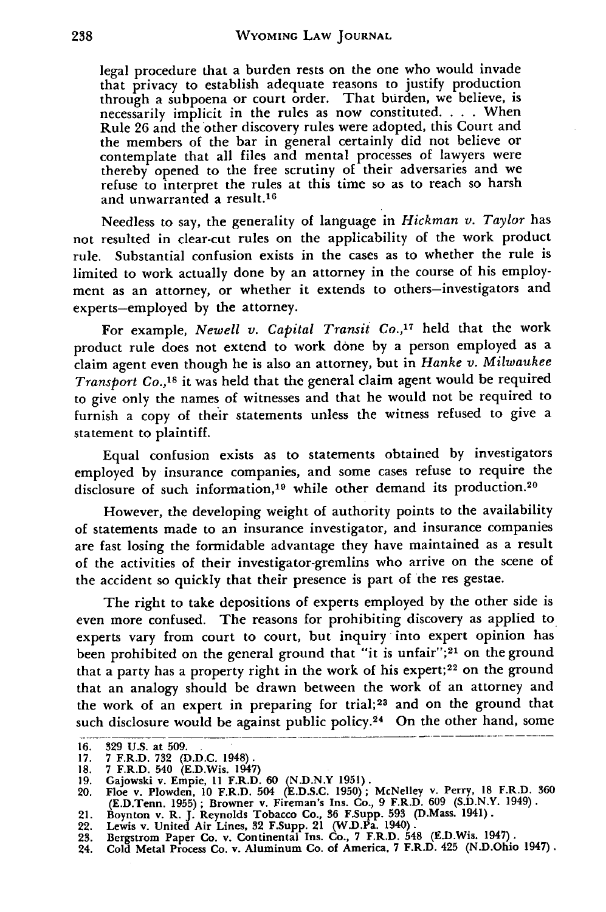legal procedure that a burden rests on the one who would invade that privacy to establish adequate reasons to justify production through a subpoena or court order. That burden, we believe, is necessarily implicit in the rules as now constituted. . **.** . When Rule 26 and the other discovery rules were adopted, this Court and the members of the bar in general certainly did not believe or contemplate that all files and mental processes of lawyers were thereby opened to the free scrutiny of their adversaries and we refuse to interpret the rules at this time so as to reach so harsh and unwarranted a result.<sup>16</sup>

Needless to say, the generality of language in *Hickman v. Taylor* has not resulted in clear-cut rules on the applicability of the work product rule. Substantial confusion exists in the cases as to whether the rule is limited to work actually done **by** an attorney in the course of his employment as an attorney, or whether it extends to others-investigators and experts-employed by the attorney.

For example, *Newell v. Capital Transit Co.,<sup>17</sup> held that the work* product rule does not extend to work done by a person employed as a claim agent even though he is also an attorney, but in *Hanke v. Milwaukee* Transport Co.,<sup>18</sup> it was held that the general claim agent would be required to give only the names of witnesses and that he would not be required to furnish a copy of their statements unless the witness refused to give a statement to plaintiff.

Equal confusion exists as to statements obtained by investigators employed by insurance companies, and some cases refuse to require the disclosure of such information,<sup>19</sup> while other demand its production.<sup>20</sup>

However, the developing weight of authority points to the availability of statements made to an insurance investigator, and insurance companies are fast losing the formidable advantage they have maintained as a result of the activities of their investigator-gremlins who arrive on the scene of the accident so quickly that their presence is part of the res gestae.

The right to take depositions of experts employed by the other side is even more confused. The reasons for prohibiting discovery as applied to experts vary from court to court, but inquiry into expert opinion has been prohibited on the general ground that "it is unfair";<sup>21</sup> on the ground that a party has a property right in the work of his expert;<sup>22</sup> on the ground that an analogy should be drawn between the work of an attorney and the work of an expert in preparing for trial;23 and on the ground that such disclosure would be against public policy.<sup>24</sup> On the other hand, some

**<sup>16. 329</sup> U.S.** at **509.**

**<sup>17. 7</sup> F.R.D. 732 (D.D.C. 1948).**

<sup>18. 7</sup> F.R.D. 540 (E.D.Wis. 1947)<br>19. Gajowski v. Empie, 11 F.R.D. 60 (N.D.N.Y 1951)<br>20. Floe v. Plowden, 10 F.R.D. 504 (E.D.S.C. 1950); McNelley v. Perry, 18 F.R.D. 360 (E.D.Tenn. **1955);** Browner v. Fireman's Ins. Co., **9** F.R.D. **609 (S.D.N.Y.** 1949). 21. Boynton v. R. **J.** Reynolds Tobacco Co., **36** F.Supp. **593** (D.Mass. 1941).

<sup>22.</sup> Lewis v. United Air Lines, **32** F.Supp. 21 (W.D.Pa. 1940). **23.** Bergstrom Paper Co. v. Continental Ins. Co., **7** F.R.D. 548 (E.D.Wis. 1947).

<sup>24.</sup> Cold Metal Process Co. v. Aluminum Co. of America. **7** F.R.D. **425 (N.D.Ohio 1947).**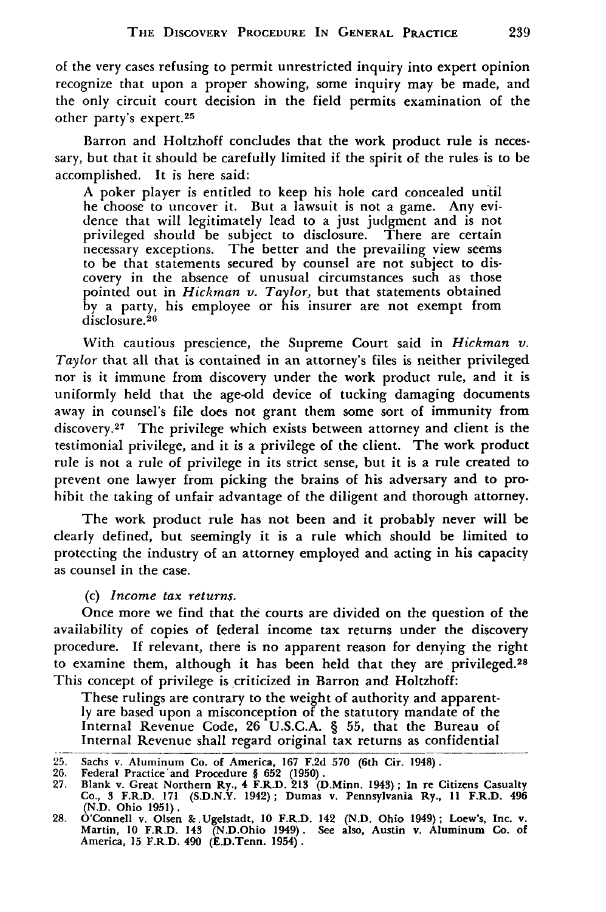of the very cases refusing to permit unrestricted inquiry into expert opinion recognize that upon a proper showing, some inquiry may be made, and the only circuit court decision in the field permits examination of the other party's expert. <sup>25</sup>

Barron and Holtzhoff concludes that the work product rule is necessary, but that it should be carefully limited if the spirit of the rules is to be accomplished. It is here said:

A poker player is entitled to keep his hole card concealed until he choose to uncover it. But a lawsuit is not a game. Any evidence that will legitimately lead to a just judgment and is not privileged should be subject to disclosure. necessary exceptions. The better and the prevailing view seems to be that statements secured by counsel are not subject to discovery in the absence of unusual circumstances such as those pointed out in *Hickman v. Taylor,* but that statements obtained by a party, his employee or his insurer are not exempt from disclosure.<sup>26</sup>

With cautious prescience, the Supreme Court said in *Hickman v. Taylor* that all that is contained in an attorney's files is neither privileged nor is it immune from discovery under the work product rule, and it is uniformly held that the age-old device of tucking damaging documents away in counsel's file does not grant them some sort of immunity from discovery.27 The privilege which exists between attorney and client is the testimonial privilege, and it is a privilege of the client. The work product rule is not a rule of privilege in its strict sense, but it is a rule created to prevent one lawyer from picking the brains of his adversary and to prohibit the taking of unfair advantage of the diligent and thorough attorney.

The work product rule has not been and it probably never will be clearly defined, but seemingly it is a rule which should be limited to protecting the industry of an attorney employed and acting in his capacity as counsel in the case.

(c) *Income tax returns.*

Once more we find that the courts are divided on the question of the availability of copies of federal income tax returns under the discovery procedure. If relevant, there is no apparent reason for denying the right to examine them, although it has been held that they are privileged.<sup>28</sup> This concept of privilege is criticized in Barron and Holtzhoff:

These rulings are contrary to the weight of authority and apparently are based upon a misconception of the statutory mandate of the Internal Revenue Code, 26 U.S.C.A. § **55,** that the Bureau of Internal Revenue shall regard original tax returns as confidential

<sup>25.</sup> Sachs v. Aluminum Co. of America, **167 F.2d 570** (6th Cir. 1948).

**<sup>26.</sup> Federal Practice'and Procedure § 652 (1950).**

**<sup>27.</sup> Blank v. Great Northern Ry., 4 F.R.D. 213 (D.Minn. 1943); In re Citizens Casualty Co., 3 F.R.D. 171 (S.D.N.Y. 1942); Dumas v. Pennsylvania Ry., 11 F.R.D. 496 (N.D. Ohio 1951).**

<sup>28.</sup> O'Connell v. Olsen & Ugelstadt, 10 F.R.D. 142 (N.D. Ohio 1949); Loew's, Inc. v. Martin, 10 F.R.D. 143 (N.D.Ohio 1949). See also, Austin v. Aluminum Co. of America, 15 F.R.D. 490 (E.D.Tenn. 1954).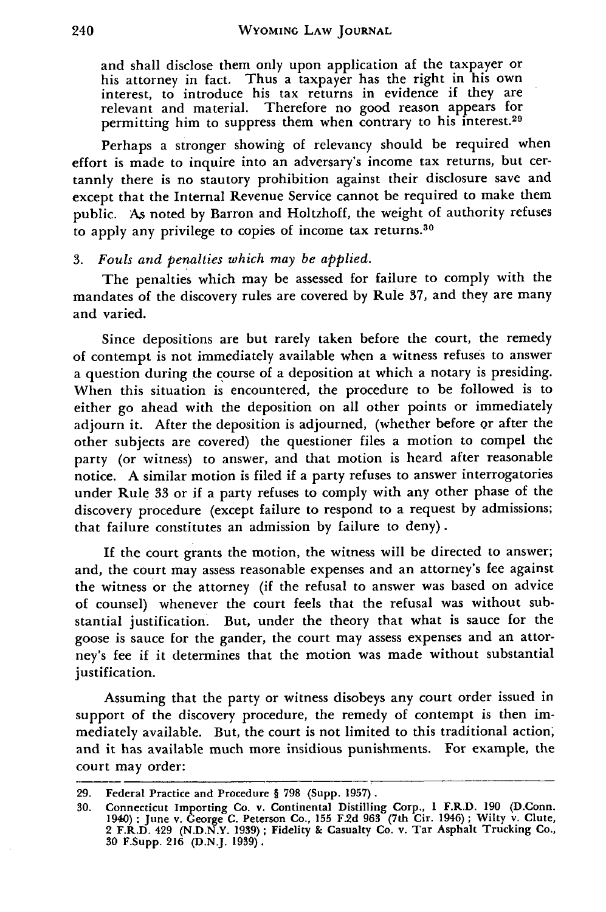and shall disclose them only upon application af the taxpayer or his attorney in fact. Thus a taxpayer has the right in his own interest, to introduce his tax returns in evidence if they are relevant and material. Therefore no good reason appears for permitting him to suppress them when contrary to his interest.<sup>29</sup>

Perhaps a stronger showing of relevancy should be required when effort is made to inquire into an adversary's income tax returns, but certannly there is no stautory prohibition against their disclosure save and except that the Internal Revenue Service cannot be required to make them public. As noted by Barron and Holtzhoff, the weight of authority refuses to apply any privilege to copies of income tax returns.<sup>30</sup>

#### *3. Fouls and penalties which may be applied.*

The penalties which may be assessed for failure to comply with the mandates of the discovery rules are covered by Rule 37, and they are many and varied.

Since depositions are but rarely taken before the court, the remedy of contempt is not immediately available when a witness refuses to answer a question during the course of a deposition at which a notary is presiding. When this situation is encountered, the procedure to be followed is to either go ahead with the deposition on all other points or immediately adjourn it. After the deposition is adjourned, (whether before or after the other subjects are covered) the questioner files a motion to compel the party (or witness) to answer, and that motion is heard after reasonable notice. A similar motion is filed if a party refuses to answer interrogatories under Rule 33 or if a party refuses to comply with any other phase of the discovery procedure (except failure to respond to a request by admissions; that failure constitutes an admission by failure to deny).

If the court grants the motion, the witness will be directed to answer; and, the court may assess reasonable expenses and an attorney's fee against the witness or the attorney (if the refusal to answer was based on advice of counsel) whenever the court feels that the refusal was without substantial justification. But, under the theory that what is sauce for the goose is sauce for the gander, the court may assess expenses and an attorney's fee if it determines that the motion was made without substantial justification.

Assuming that the party or witness disobeys any court order issued in support of the discovery procedure, the remedy of contempt is then immediately available. But, the court is not limited to this traditional action; and it has available much more insidious punishments. For example, the court may order:

**<sup>29.</sup>** Federal Practice and Procedure § **798** (Supp. **1957).**

<sup>30.</sup> Connecticut Importing Co. v. Continental Distilling Corp., 1 F.R.D. 190 (D.Conn 1940); June v. George C. Peterson Co., 155 F.2d 963 (7th Cir. 1946); Wilty v. Clute 2 F.R.D. 429 (N.D.N.Y. 1939); Fidelity & Casualty Co. **30** F.Supp. **216** (D.N.J. **1939).**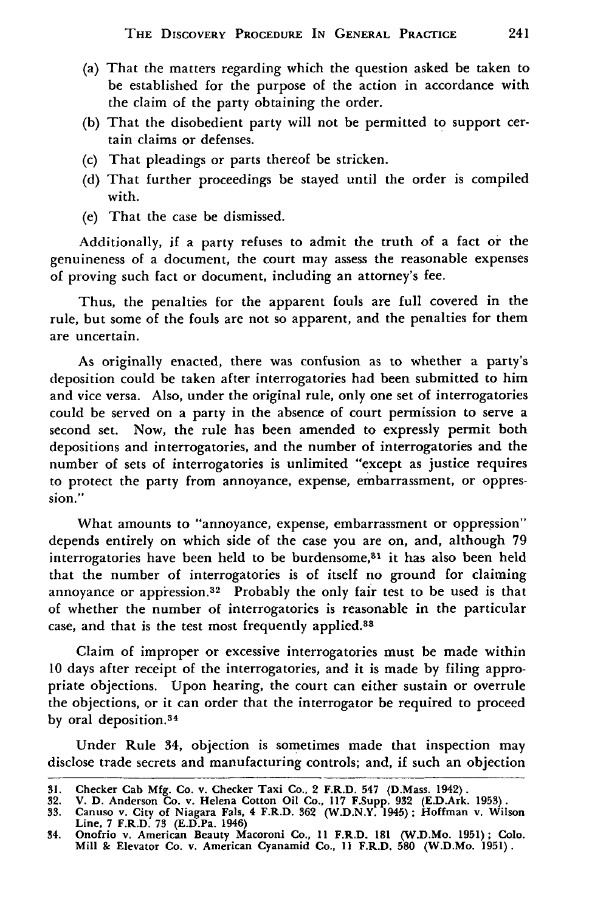- (a) That the matters regarding which the question asked be taken to be established for the purpose of the action in accordance with the claim of the party obtaining the order.
- (b) That the disobedient party will not be permitted to support certain claims or defenses.
- (c) That pleadings or parts thereof be stricken.
- (d) That further proceedings be stayed until the order is compiled with.
- (e) That the case be dismissed.

Additionally, if a party refuses to admit the truth of a fact or the genuineness of a document, the court may assess the reasonable expenses of proving such fact or document, including an attorney's fee.

Thus, the penalties for the apparent fouls are full covered in the rule, but some of the fouls are not so apparent, and the penalties for them are uncertain.

As originally enacted, there was confusion as to whether a party's deposition could be taken after interrogatories had been submitted to him and vice versa. Also, under the original rule, only one set of interrogatories could be served on a party in the absence of court permission to serve a second set. Now, the rule has been amended to expressly permit both depositions and interrogatories, and the number of interrogatories and the number of sets of interrogatories is unlimited "except as justice requires to protect the party from annoyance, expense, embarrassment, or oppression."

What amounts to "annoyance, expense, embarrassment or oppression" depends entirely on which side of the case you are on, and, although 79 interrogatories have been held to be burdensome,<sup>31</sup> it has also been held that the number of interrogatories is of itself no ground for claiming annoyance or appression.<sup>32</sup> Probably the only fair test to be used is that of whether the number of interrogatories is reasonable in the particular case, and that is the test most frequently applied.33

Claim of improper or excessive interrogatories must be made within **10** days after receipt of the interrogatories, and it is made by filing appropriate objections. Upon hearing, the court can either sustain or overrule the objections, or it can order that the interrogator be required to proceed by oral deposition.<sup>34</sup>

Under Rule 34, objection is sometimes made that inspection may disclose trade secrets and manufacturing controls; and, if such an objection

<sup>31.</sup> Checker Cab Mfg. Co. v. Checker Taxi Co., 2 F.R.D. 547 (D.Mass. 1942).

<sup>32.</sup> V. D. Anderson Co. v. Helena Cotton Oil Co., 117 F.Supp. 932 (E.D.Ark. 1953).<br>33. Canuso v. City of Niagara Fals, 4 F.R.D. 362 (W.D.N.Y. 1945); Hoffman v. Wilson<br>Line, 7 F.R.D. 73 (E.D.Pa. 1946)

**<sup>34.</sup> Onofrio v. American Beauty Macoroni Co., 11 F.R.D. 181 (W.D.Mo. 1951); Colo. Mill & Elevator Co. v. American Cyanamid Co., 11 F.R.D. 580 (W.D.Mo. 1951).**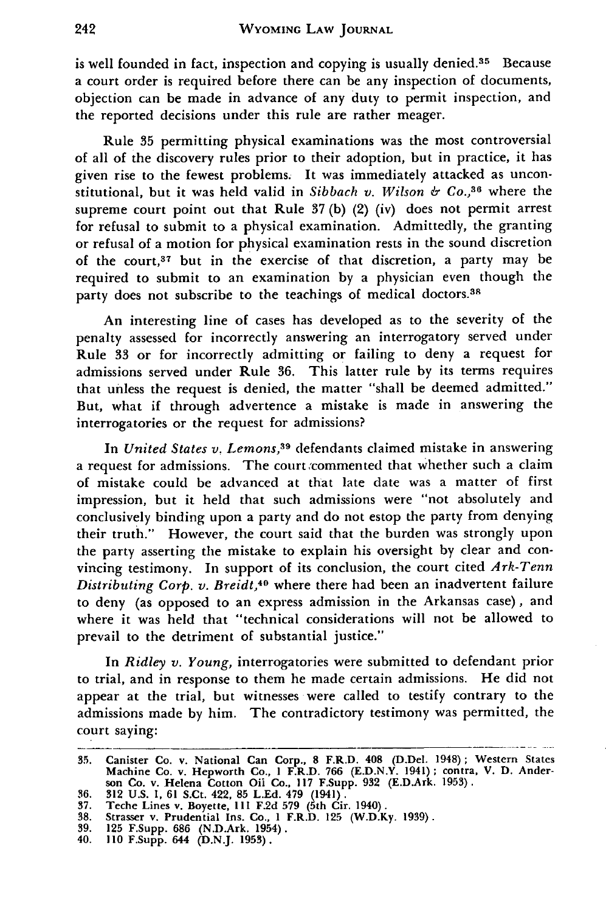is well founded in fact, inspection and copying is usually denied. $35$  Because a court order is required before there can be any inspection of documents, objection can be made in advance of any duty to permit inspection, and the reported decisions under this rule are rather meager.

Rule **35** permitting physical examinations was the most controversial of all of the discovery rules prior to their adoption, but in practice, it has given rise to the fewest problems. It was immediately attacked as unconstitutional, but it was held valid in *Sibbach v. Wilson & Co.,36* where the supreme court point out that Rule 37 (b) (2) (iv) does not permit arrest for refusal to submit to a physical examination. Admittedly, the granting or refusal of a motion for physical examination rests in the sound discretion of the court,37 but in the exercise of that discretion, a party may be required to submit to an examination by a physician even though the party does not subscribe to the teachings of medical doctors.<sup>38</sup>

An interesting line of cases has developed as to the severity of the penalty assessed for incorrectly answering an interrogatory served under Rule 33 or for incorrectly admitting or failing to deny a request for admissions served under Rule **36.** This latter rule by its terms requires that unless the request is denied, the matter "shall be deemed admitted." But, what if through advertence a mistake is made in answering the interrogatories or the request for admissions?

In *United States v. Lemons*,<sup>39</sup> defendants claimed mistake in answering a request for admissions. The court commented that whether such a claim of mistake could be advanced at that late date was a matter of first impression, but it held that such admissions were "not absolutely and conclusively binding upon a party and do not estop the party from denying their truth." However, the court said that the burden was strongly upon the party asserting the mistake to explain his oversight by clear and convincing testimony. In support of its conclusion, the court cited *Ark-Tenn Distributing Corp. v. Breidt,40* where there had been an inadvertent failure to deny (as opposed to an express admission in the Arkansas case), and where it was held that "technical considerations will not be allowed to prevail to the detriment of substantial justice."

In *Ridley v. Young,* interrogatories were submitted to defendant prior to trial, and in response to them he made certain admissions. He did not appear at the trial, but witnesses were called to testify contrary to the admissions made by him. The contradictory testimony was permitted, the court saying:

**<sup>35.</sup>** Canister **Co.** v. National **Can** Corp., **8** F.R.D. **408** (D.Del. 1948); Western States Machine Co. v. Hepworth Co., **I** F.R.D. **766 (E.D.N.Y.** 1941); contra, V. **D.** Anderson **Co.** v. Helena Cotton **Oil** Co., **117** F.Supp. **932** (E.D.Ark. **1953).**

**<sup>36. 312</sup> U.S. 1, 61 S.Ct. 422, 85 L.Ed. 479** (1941). **37. Teche Lines v. Boyette, Ill F.2d 579 (5th Cir. 1940). 38. Strasser v. Prudential Ins. Co., 1 F.R.D. 125 (W.D.Ky. 1939).**

**<sup>39. 125</sup> F.Supp. 686 (N.D.Ark. 1954). 40. 110 F.Supp. 644 (D.N.J. 1953).**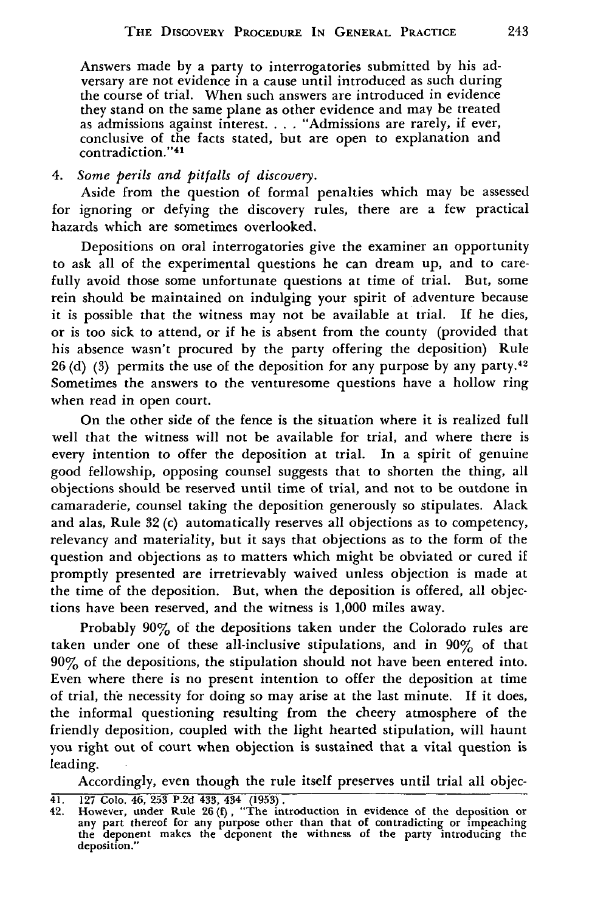Answers made by a party to interrogatories submitted by his adversary are not evidence in a cause until introduced as such during the course of trial. When such answers are introduced in evidence they stand on the same plane as other evidence and may be treated as admissions against interest. . . . "Admissions are rarely, if ever, conclusive of the facts stated, but are open to explanation and contradiction."41

*4. Some perils and pitfalls of discovery.*

Aside from the question of formal penalties which may be assessed for ignoring or defying the discovery rules, there are a few practical hazards which are sometimes overlooked.

Depositions on oral interrogatories give the examiner an opportunity to ask all of the experimental questions he can dream up, and to carefully avoid those some unfortunate questions at time of trial. But, some rein should be maintained on indulging your spirit of adventure because it is possible that the witness may not be available at trial. **If** he dies, or is too sick to attend, or if he is absent from the county (provided that his absence wasn't procured by the party offering the deposition) Rule 26 (d) (3) permits the use of the deposition for any purpose by any party.<sup>42</sup> Sometimes the answers to the venturesome questions have a hollow ring when read in open court.

On the other side of the fence is the situation where it is realized full well that the witness will not be available for trial, and where there is every intention to offer the deposition at trial. In a spirit of genuine good fellowship, opposing counsel suggests that to shorten the thing, all objections should be reserved until time of trial, and not to be outdone in camaraderie, counsel taking the deposition generously so stipulates. Alack and alas, Rule 32 (c) automatically reserves all objections as to competency, relevancy and materiality, but it says that objections as to the form of the question and objections as to matters which might be obviated or cured if promptly presented are irretrievably waived unless objection is made at the time of the deposition. But, when the deposition is offered, all objections have been reserved, and the witness is 1,000 miles away.

Probably 90% of the depositions taken under the Colorado rules are taken under one of these all-inclusive stipulations, and in 90% of that 90% of the depositions, the stipulation should not have been entered into. Even where there is no present intention to offer the deposition at time of trial, the necessity for doing so may arise at the last minute. **If** it does, the informal questioning resulting from the cheery atmosphere of the friendly deposition, coupled with the light hearted stipulation, will haunt you right out of court when objection is sustained that a vital question is leading.

Accordingly, even though the rule itself preserves until trial all objec-

<sup>41.</sup>  $\overline{127}$  Colo. 46, 253 P.2d 433, 434 (1953).<br>42. However, under Rule 26(f), "The introduction in evidence of the deposition of any part thereof for any purpose other than that of contradicting or impeaching<br>the depo deposition."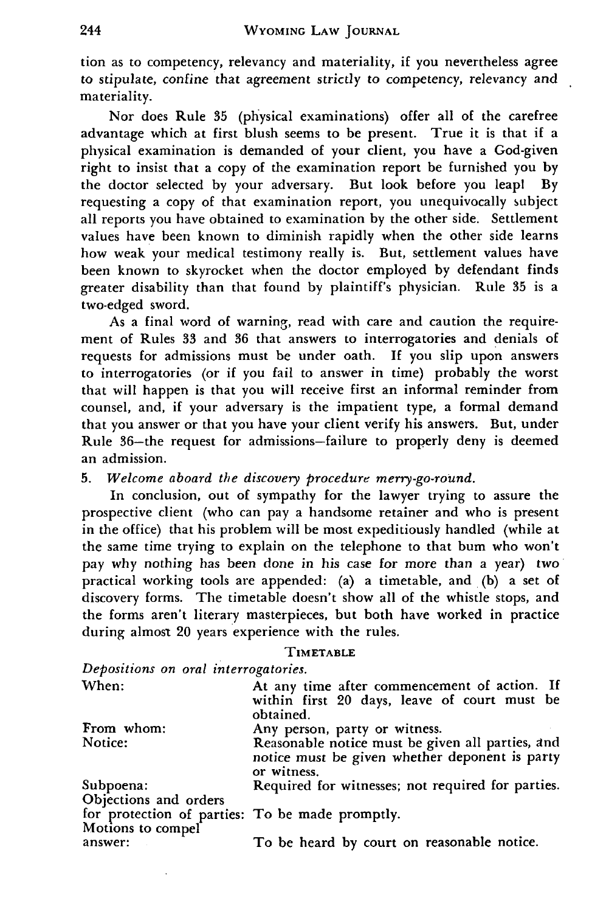tion as to competency, relevancy and materiality, if you nevertheless agree to stipulate, confine that agreement strictly to competency, relevancy and materiality.

Nor does Rule **35** (physical examinations) offer all of the carefree advantage which at first blush seems to be present. True it is that if a physical examination is demanded of your client, you have a God-given right to insist that a copy of the examination report be furnished you by the doctor selected by your adversary. But look before you leapl **By** requesting a copy of that examination report, you unequivocally subject all reports you have obtained to examination by the other side. Settlement values have been known to diminish rapidly when the other side learns how weak your medical testimony really is. But, settlement values have been known to skyrocket when the doctor employed by defendant finds greater disability than that found by plaintiff's physician. Rule 35 is a two-edged sword.

As a final word of warning, read with care and caution the requirement of Rules 33 and 36 that answers to interrogatories and denials of requests for admissions must be under oath. **If** you slip upon answers to interrogatories (or if you fail to answer in time) probably the worst that will happen is that you will receive first an informal reminder from counsel, and, if your adversary is the impatient type, a formal demand that you answer or that you have your client verify his answers. But, under Rule 36-the request for admissions-failure to properly deny is deemed an admission.

*5. Welcome aboard the discovery procedure merry-go-round.*

In conclusion, out of sympathy for the lawyer trying to assure the prospective client (who can pay a handsome retainer and who is present in the office) that his problem will be most expeditiously handled (while at the same time trying to explain on the telephone to that bum who won't pay why nothing has been done in his case for more than a year) two practical working tools are appended: (a) a timetable, and (b) a set of discovery forms. The timetable doesn't show all of the whistle stops, and the forms aren't literary masterpieces, but both have worked in practice during almost 20 years experience with the rules.

#### TIMETABLE

| Depositions on oral interrogatories.                                 |                                                                                                                   |
|----------------------------------------------------------------------|-------------------------------------------------------------------------------------------------------------------|
| When:                                                                | At any time after commencement of action. If<br>within first 20 days, leave of court must be<br>obtained.         |
| From whom:                                                           | Any person, party or witness.                                                                                     |
| Notice:                                                              | Reasonable notice must be given all parties, and<br>notice must be given whether deponent is party<br>or witness. |
| Subpoena:                                                            | Required for witnesses; not required for parties.                                                                 |
| Objections and orders                                                |                                                                                                                   |
|                                                                      |                                                                                                                   |
| for protection of parties: To be made promptly.<br>Motions to compel |                                                                                                                   |
| answer:                                                              | To be heard by court on reasonable notice.                                                                        |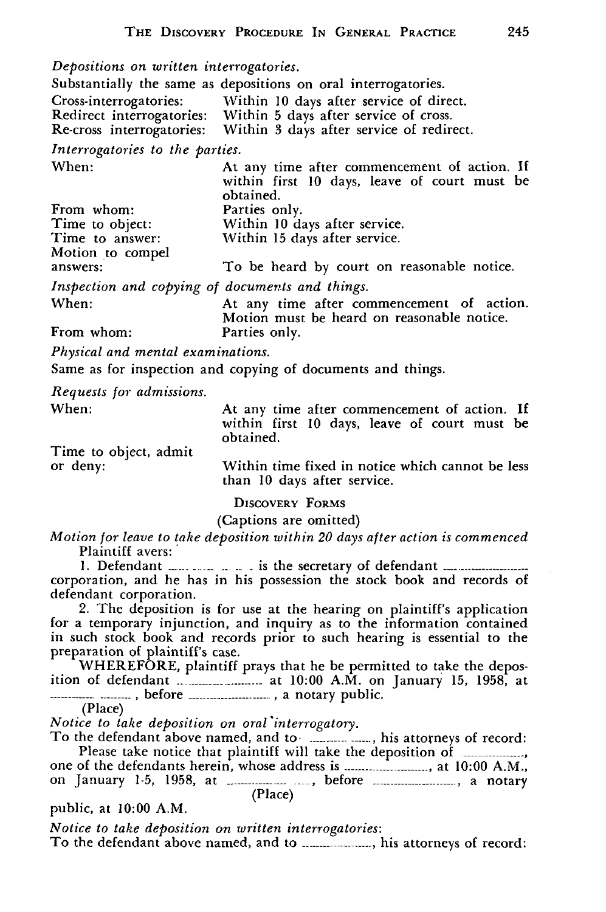*Depositions on written interrogatories.*

| Depositions on written interrogatories.         |                                                                                                                                   |
|-------------------------------------------------|-----------------------------------------------------------------------------------------------------------------------------------|
|                                                 | Substantially the same as depositions on oral interrogatories.                                                                    |
|                                                 |                                                                                                                                   |
|                                                 | Cross-interrogatories: Within 10 days after service of direct.<br>Redirect interrogatories: Within 5 days after service of cross. |
|                                                 | Re-cross interrogatories: Within 3 days after service of redirect.                                                                |
| Interrogatories to the parties.                 |                                                                                                                                   |
| When:                                           | At any time after commencement of action. If<br>within first 10 days, leave of court must be<br>obtained.                         |
| From whom:                                      | Parties only.                                                                                                                     |
|                                                 | Time to object: Within 10 days after service.                                                                                     |
| Time to answer:                                 | Within 15 days after service.                                                                                                     |
| Motion to compel                                |                                                                                                                                   |
| answers:                                        | To be heard by court on reasonable notice.                                                                                        |
| Inspection and copying of documents and things. |                                                                                                                                   |
| When:                                           | At any time after commencement of action.<br>Motion must be heard on reasonable notice.                                           |
| From whom:                                      | Parties only.                                                                                                                     |
|                                                 |                                                                                                                                   |

*Physical and mental examinations.*

Same as for inspection and copying of documents and things.

*Requests for admissions.*

When: Time to object, admit At any time after commencement of action. **If** within first **10** days, leave of court must be obtained.

or deny:

Within time fixed in notice which cannot be less than **10** days after service.

DISCOVERY FORMS

(Captions are omitted)

*Motion for leave to take deposition within 20 days after action is commenced* Plaintiff avers:

1. Defendant **----- ----- -- --** . is the secretary of defendant **-------------------**corporation, and he has in his possession the stock book and records of defendant corporation.

2. The deposition is for use at the hearing on plaintiff's application for a temporary injunction, and inquiry as to the information contained in such stock book and records prior to such hearing is essential to the preparation of plaintiff's case.

WHEREFORE, plaintiff prays that he be permitted to take the deposition of defendant **.------------** at 10:00 A.M. on January 15, 1958, at **------------** . before **----------------.** a notary public.

(Place)

*Notice to take deposition on oral \*interrogatory.*

To the defendant above named, and to **Interact 2016** his attorneys of record: Please take notice that plaintiff will take the deposition of ................... one of the defendants herein, whose address is **-------------------------** at 10:00 A.M., on January 1-5, 1958, at **---------------------** before **-----------------------** a notary (Place)

public, at 10:00 A.M.

*Notice to take deposition on written interrogatories:* To the defendant above named, and to *maching manimum*, his attorneys of record: